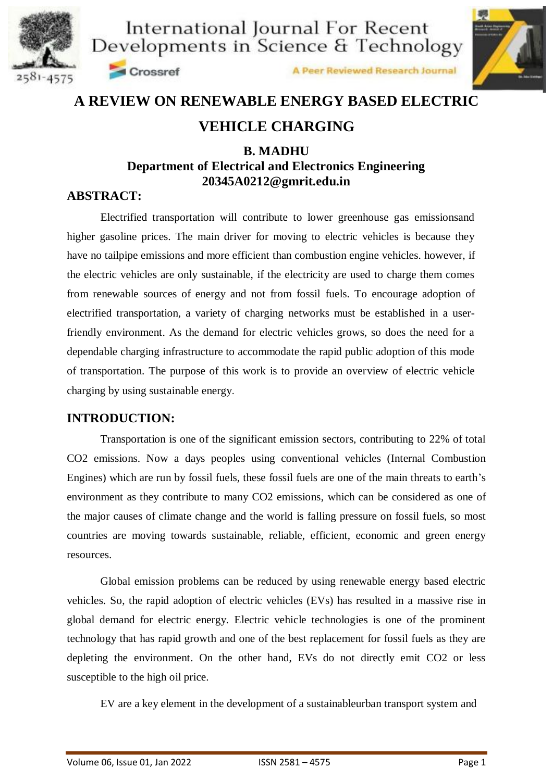



A Peer Reviewed Research Journal



## **A REVIEW ON RENEWABLE ENERGY BASED ELECTRIC**

## **VEHICLE CHARGING**

## **B. MADHU Department of Electrical and Electronics Engineering 20345A0212@gmrit.edu.in**

### **ABSTRACT:**

Electrified transportation will contribute to lower greenhouse gas emissionsand higher gasoline prices. The main driver for moving to electric vehicles is because they have no tailpipe emissions and more efficient than combustion engine vehicles. however, if the electric vehicles are only sustainable, if the electricity are used to charge them comes from renewable sources of energy and not from fossil fuels. To encourage adoption of electrified transportation, a variety of charging networks must be established in a userfriendly environment. As the demand for electric vehicles grows, so does the need for a dependable charging infrastructure to accommodate the rapid public adoption of this mode of transportation. The purpose of this work is to provide an overview of electric vehicle charging by using sustainable energy.

## **INTRODUCTION:**

Transportation is one of the significant emission sectors, contributing to 22% of total CO2 emissions. Now a days peoples using conventional vehicles (Internal Combustion Engines) which are run by fossil fuels, these fossil fuels are one of the main threats to earth's environment as they contribute to many CO2 emissions, which can be considered as one of the major causes of climate change and the world is falling pressure on fossil fuels, so most countries are moving towards sustainable, reliable, efficient, economic and green energy resources.

Global emission problems can be reduced by using renewable energy based electric vehicles. So, the rapid adoption of electric vehicles (EVs) has resulted in a massive rise in global demand for electric energy. Electric vehicle technologies is one of the prominent technology that has rapid growth and one of the best replacement for fossil fuels as they are depleting the environment. On the other hand, EVs do not directly emit CO2 or less susceptible to the high oil price.

EV are a key element in the development of a sustainableurban transport system and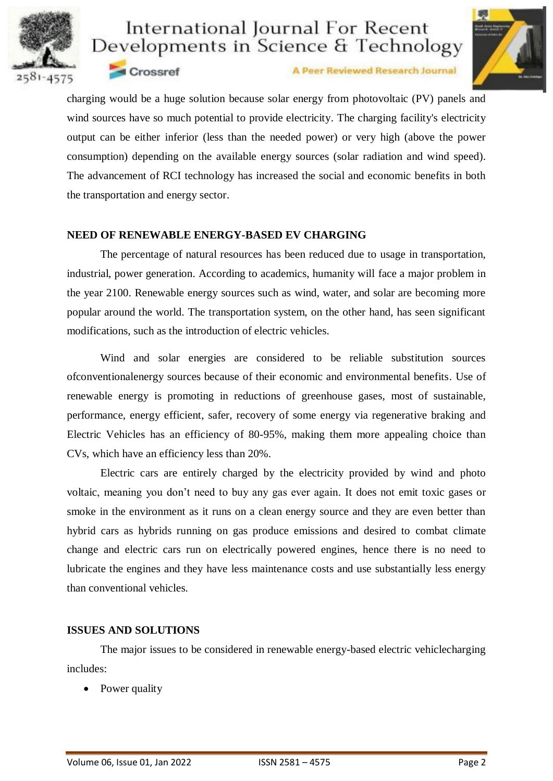



Crossref

A Peer Reviewed Research Journal

charging would be a huge solution because solar energy from photovoltaic (PV) panels and wind sources have so much potential to provide electricity. The charging facility's electricity output can be either inferior (less than the needed power) or very high (above the power consumption) depending on the available energy sources (solar radiation and wind speed). The advancement of RCI technology has increased the social and economic benefits in both the transportation and energy sector.

#### **NEED OF RENEWABLE ENERGY-BASED EV CHARGING**

The percentage of natural resources has been reduced due to usage in transportation, industrial, power generation. According to academics, humanity will face a major problem in the year 2100. Renewable energy sources such as wind, water, and solar are becoming more popular around the world. The transportation system, on the other hand, has seen significant modifications, such as the introduction of electric vehicles.

Wind and solar energies are considered to be reliable substitution sources ofconventionalenergy sources because of their economic and environmental benefits. Use of renewable energy is promoting in reductions of greenhouse gases, most of sustainable, performance, energy efficient, safer, recovery of some energy via regenerative braking and Electric Vehicles has an efficiency of 80-95%, making them more appealing choice than CVs, which have an efficiency less than 20%.

Electric cars are entirely charged by the electricity provided by wind and photo voltaic, meaning you don't need to buy any gas ever again. It does not emit toxic gases or smoke in the environment as it runs on a clean energy source and they are even better than hybrid cars as hybrids running on gas produce emissions and desired to combat climate change and electric cars run on electrically powered engines, hence there is no need to lubricate the engines and they have less maintenance costs and use substantially less energy than conventional vehicles.

#### **ISSUES AND SOLUTIONS**

The major issues to be considered in renewable energy-based electric vehiclecharging includes:

Power quality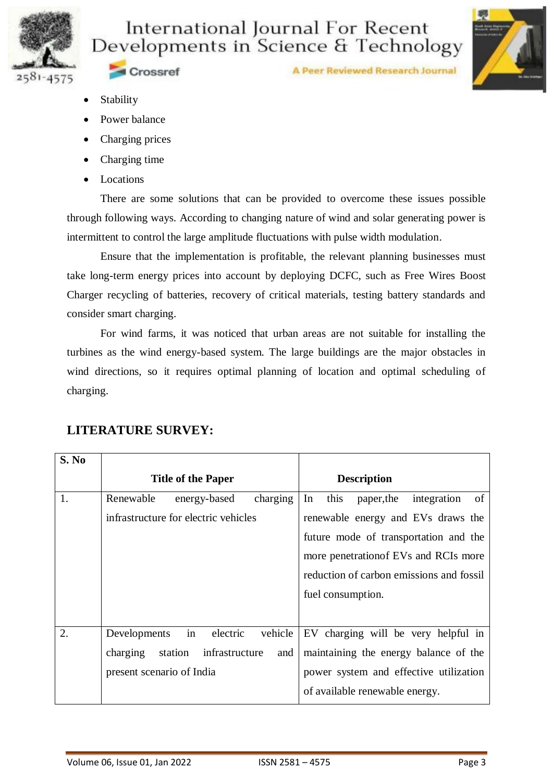

A Peer Reviewed Research Journal



Crossref

- Stability
- Power balance
- Charging prices
- Charging time
- Locations

There are some solutions that can be provided to overcome these issues possible through following ways. According to changing nature of wind and solar generating power is intermittent to control the large amplitude fluctuations with pulse width modulation.

Ensure that the implementation is profitable, the relevant planning businesses must take long-term energy prices into account by deploying DCFC, such as Free Wires Boost Charger recycling of batteries, recovery of critical materials, testing battery standards and consider smart charging.

For wind farms, it was noticed that urban areas are not suitable for installing the turbines as the wind energy-based system. The large buildings are the major obstacles in wind directions, so it requires optimal planning of location and optimal scheduling of charging.

| S. No |                                              |                                          |  |
|-------|----------------------------------------------|------------------------------------------|--|
|       | <b>Title of the Paper</b>                    | <b>Description</b>                       |  |
| 1.    | In<br>charging<br>Renewable<br>energy-based  | this<br>of<br>integration<br>paper, the  |  |
|       | infrastructure for electric vehicles         | renewable energy and EVs draws the       |  |
|       |                                              | future mode of transportation and the    |  |
|       |                                              | more penetration of EVs and RCIs more    |  |
|       |                                              | reduction of carbon emissions and fossil |  |
|       |                                              | fuel consumption.                        |  |
|       |                                              |                                          |  |
| 2.    | in<br>electric<br>vehicle<br>Developments    | EV charging will be very helpful in      |  |
|       | charging<br>station<br>infrastructure<br>and | maintaining the energy balance of the    |  |
|       | present scenario of India                    | power system and effective utilization   |  |
|       |                                              | of available renewable energy.           |  |

## **LITERATURE SURVEY:**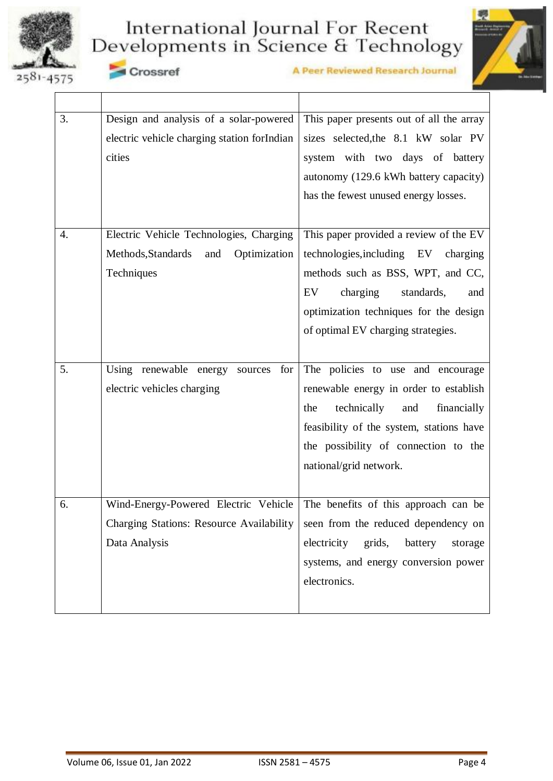







| 3. | Design and analysis of a solar-powered          | This paper presents out of all the array    |  |
|----|-------------------------------------------------|---------------------------------------------|--|
|    | electric vehicle charging station forIndian     | sizes selected, the 8.1 kW solar PV         |  |
|    | cities                                          | system with two days of battery             |  |
|    |                                                 | autonomy (129.6 kWh battery capacity)       |  |
|    |                                                 | has the fewest unused energy losses.        |  |
|    |                                                 |                                             |  |
| 4. | Electric Vehicle Technologies, Charging         | This paper provided a review of the EV      |  |
|    | Methods, Standards<br>and<br>Optimization       | technologies, including EV<br>charging      |  |
|    | Techniques                                      | methods such as BSS, WPT, and CC,           |  |
|    |                                                 | charging<br>EV<br>standards,<br>and         |  |
|    |                                                 | optimization techniques for the design      |  |
|    |                                                 | of optimal EV charging strategies.          |  |
|    |                                                 |                                             |  |
| 5. | Using renewable energy<br>for<br>sources        | The policies to use and encourage           |  |
|    | electric vehicles charging                      | renewable energy in order to establish      |  |
|    |                                                 | technically<br>the<br>and<br>financially    |  |
|    |                                                 | feasibility of the system, stations have    |  |
|    |                                                 | the possibility of connection to the        |  |
|    |                                                 | national/grid network.                      |  |
|    |                                                 |                                             |  |
| 6. | Wind-Energy-Powered Electric Vehicle            | The benefits of this approach can be        |  |
|    | <b>Charging Stations: Resource Availability</b> | seen from the reduced dependency on         |  |
|    | Data Analysis                                   | electricity<br>grids,<br>battery<br>storage |  |
|    |                                                 | systems, and energy conversion power        |  |
|    |                                                 | electronics.                                |  |
|    |                                                 |                                             |  |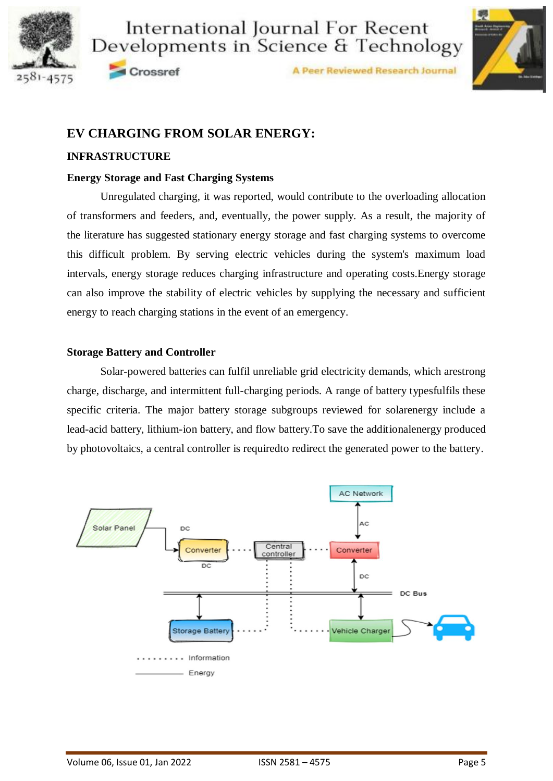



Crossref

A Peer Reviewed Research Journal



## **EV CHARGING FROM SOLAR ENERGY:**

#### **INFRASTRUCTURE**

#### **Energy Storage and Fast Charging Systems**

Unregulated charging, it was reported, would contribute to the overloading allocation of transformers and feeders, and, eventually, the power supply. As a result, the majority of the literature has suggested stationary energy storage and fast charging systems to overcome this difficult problem. By serving electric vehicles during the system's maximum load intervals, energy storage reduces charging infrastructure and operating costs.Energy storage can also improve the stability of electric vehicles by supplying the necessary and sufficient energy to reach charging stations in the event of an emergency.

#### **Storage Battery and Controller**

Solar-powered batteries can fulfil unreliable grid electricity demands, which arestrong charge, discharge, and intermittent full-charging periods. A range of battery typesfulfils these specific criteria. The major battery storage subgroups reviewed for solarenergy include a lead-acid battery, lithium-ion battery, and flow battery.To save the additionalenergy produced by photovoltaics, a central controller is requiredto redirect the generated power to the battery.

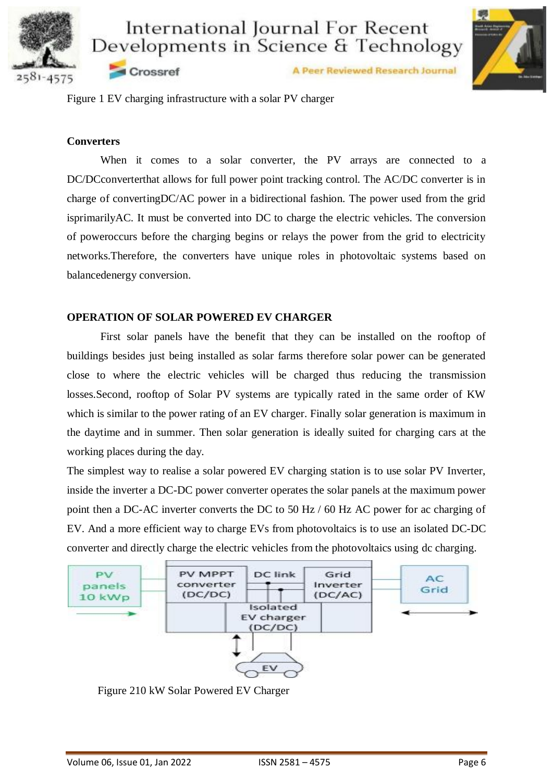

A Peer Reviewed Research Journal

Figure 1 EV charging infrastructure with a solar PV charger

Crossref

#### **Converters**

When it comes to a solar converter, the PV arrays are connected to a DC/DCconverterthat allows for full power point tracking control. The AC/DC converter is in charge of convertingDC/AC power in a bidirectional fashion. The power used from the grid isprimarilyAC. It must be converted into DC to charge the electric vehicles. The conversion of poweroccurs before the charging begins or relays the power from the grid to electricity networks.Therefore, the converters have unique roles in photovoltaic systems based on balancedenergy conversion.

#### **OPERATION OF SOLAR POWERED EV CHARGER**

First solar panels have the benefit that they can be installed on the rooftop of buildings besides just being installed as solar farms therefore solar power can be generated close to where the electric vehicles will be charged thus reducing the transmission losses.Second, rooftop of Solar PV systems are typically rated in the same order of KW which is similar to the power rating of an EV charger. Finally solar generation is maximum in the daytime and in summer. Then solar generation is ideally suited for charging cars at the working places during the day.

The simplest way to realise a solar powered EV charging station is to use solar PV Inverter, inside the inverter a DC-DC power converter operates the solar panels at the maximum power point then a DC-AC inverter converts the DC to 50 Hz / 60 Hz AC power for ac charging of EV. And a more efficient way to charge EVs from photovoltaics is to use an isolated DC-DC converter and directly charge the electric vehicles from the photovoltaics using dc charging.



Figure 210 kW Solar Powered EV Charger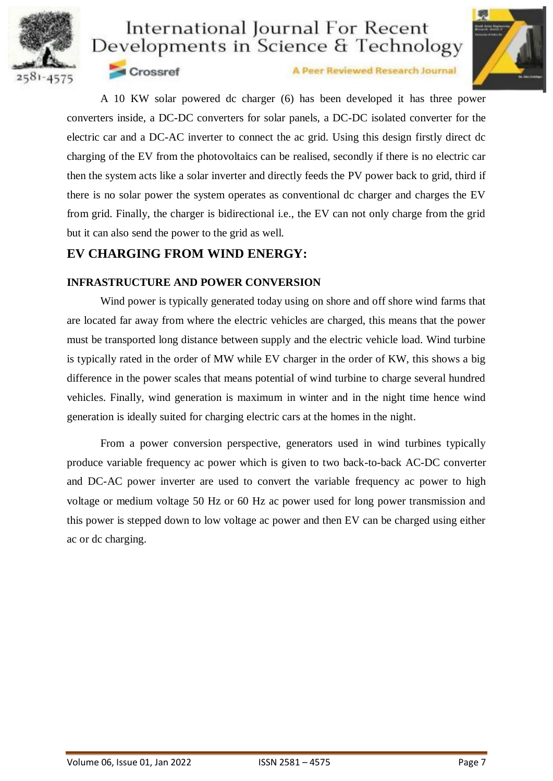



Crossref

A Peer Reviewed Research Journal

A 10 KW solar powered dc charger (6) has been developed it has three power converters inside, a DC-DC converters for solar panels, a DC-DC isolated converter for the electric car and a DC-AC inverter to connect the ac grid. Using this design firstly direct dc charging of the EV from the photovoltaics can be realised, secondly if there is no electric car then the system acts like a solar inverter and directly feeds the PV power back to grid, third if there is no solar power the system operates as conventional dc charger and charges the EV from grid. Finally, the charger is bidirectional i.e., the EV can not only charge from the grid but it can also send the power to the grid as well.

## **EV CHARGING FROM WIND ENERGY:**

#### **INFRASTRUCTURE AND POWER CONVERSION**

Wind power is typically generated today using on shore and off shore wind farms that are located far away from where the electric vehicles are charged, this means that the power must be transported long distance between supply and the electric vehicle load. Wind turbine is typically rated in the order of MW while EV charger in the order of KW, this shows a big difference in the power scales that means potential of wind turbine to charge several hundred vehicles. Finally, wind generation is maximum in winter and in the night time hence wind generation is ideally suited for charging electric cars at the homes in the night.

From a power conversion perspective, generators used in wind turbines typically produce variable frequency ac power which is given to two back-to-back AC-DC converter and DC-AC power inverter are used to convert the variable frequency ac power to high voltage or medium voltage 50 Hz or 60 Hz ac power used for long power transmission and this power is stepped down to low voltage ac power and then EV can be charged using either ac or dc charging.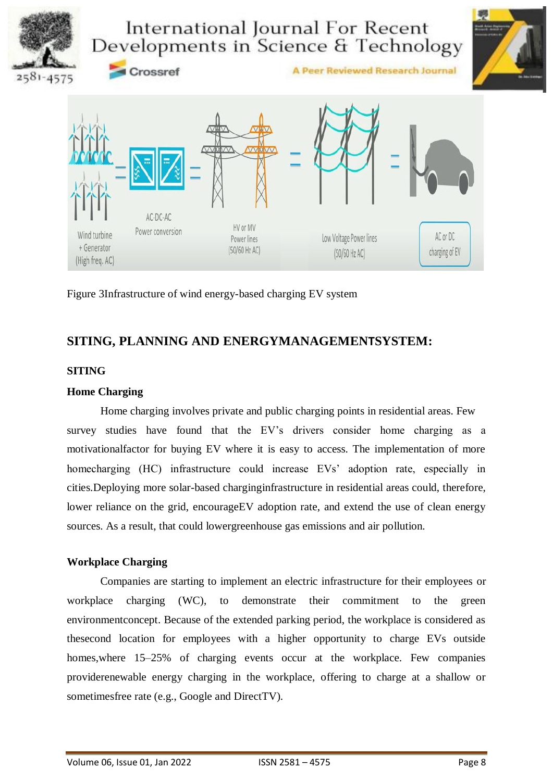

Figure 3Infrastructure of wind energy-based charging EV system

## **SITING, PLANNING AND ENERGYMANAGEMENTSYSTEM:**

#### **SITING**

#### **Home Charging**

Home charging involves private and public charging points in residential areas. Few survey studies have found that the EV's drivers consider home charging as a motivationalfactor for buying EV where it is easy to access. The implementation of more homecharging (HC) infrastructure could increase EVs' adoption rate, especially in cities.Deploying more solar-based charginginfrastructure in residential areas could, therefore, lower reliance on the grid, encourage EV adoption rate, and extend the use of clean energy sources. As a result, that could lowergreenhouse gas emissions and air pollution.

#### **Workplace Charging**

Companies are starting to implement an electric infrastructure for their employees or workplace charging (WC), to demonstrate their commitment to the green environmentconcept. Because of the extended parking period, the workplace is considered as thesecond location for employees with a higher opportunity to charge EVs outside homes, where 15–25% of charging events occur at the workplace. Few companies providerenewable energy charging in the workplace, offering to charge at a shallow or sometimesfree rate (e.g., Google and DirectTV).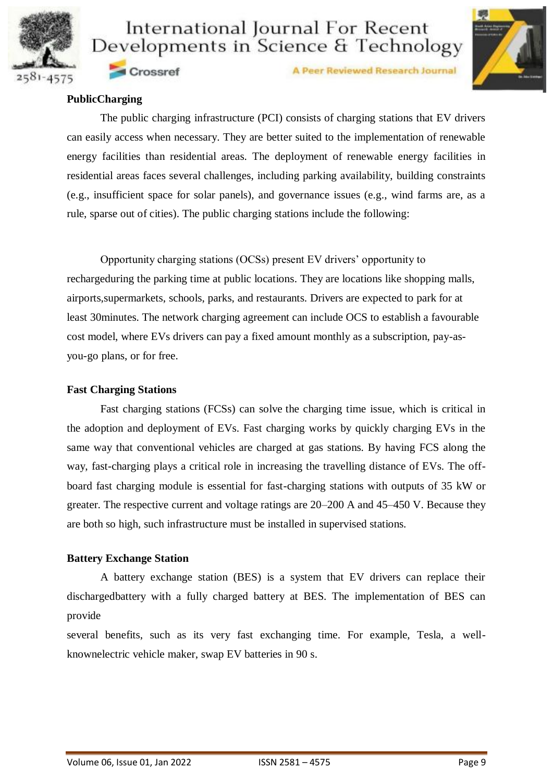



A Peer Reviewed Research Journal

#### **PublicCharging**

Crossref

The public charging infrastructure (PCI) consists of charging stations that EV drivers can easily access when necessary. They are better suited to the implementation of renewable energy facilities than residential areas. The deployment of renewable energy facilities in residential areas faces several challenges, including parking availability, building constraints (e.g., insufficient space for solar panels), and governance issues (e.g., wind farms are, as a rule, sparse out of cities). The public charging stations include the following:

Opportunity charging stations (OCSs) present EV drivers' opportunity to rechargeduring the parking time at public locations. They are locations like shopping malls, airports,supermarkets, schools, parks, and restaurants. Drivers are expected to park for at least 30minutes. The network charging agreement can include OCS to establish a favourable cost model, where EVs drivers can pay a fixed amount monthly as a subscription, pay-asyou-go plans, or for free.

#### **Fast Charging Stations**

Fast charging stations (FCSs) can solve the charging time issue, which is critical in the adoption and deployment of EVs. Fast charging works by quickly charging EVs in the same way that conventional vehicles are charged at gas stations. By having FCS along the way, fast-charging plays a critical role in increasing the travelling distance of EVs. The offboard fast charging module is essential for fast-charging stations with outputs of 35 kW or greater. The respective current and voltage ratings are 20–200 A and 45–450 V. Because they are both so high, such infrastructure must be installed in supervised stations.

#### **Battery Exchange Station**

A battery exchange station (BES) is a system that EV drivers can replace their dischargedbattery with a fully charged battery at BES. The implementation of BES can provide

several benefits, such as its very fast exchanging time. For example, Tesla, a wellknownelectric vehicle maker, swap EV batteries in 90 s.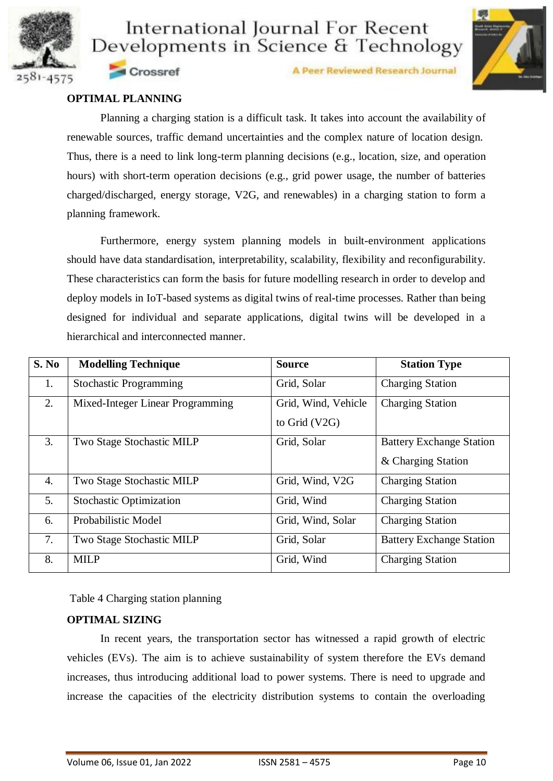



A Peer Reviewed Research Journal

#### **OPTIMAL PLANNING**

Crossref

Planning a charging station is a difficult task. It takes into account the availability of renewable sources, traffic demand uncertainties and the complex nature of location design. Thus, there is a need to link long-term planning decisions (e.g., location, size, and operation hours) with short-term operation decisions (e.g., grid power usage, the number of batteries charged/discharged, energy storage, V2G, and renewables) in a charging station to form a planning framework.

Furthermore, energy system planning models in built-environment applications should have data standardisation, interpretability, scalability, flexibility and reconfigurability. These characteristics can form the basis for future modelling research in order to develop and deploy models in IoT-based systems as digital twins of real-time processes. Rather than being designed for individual and separate applications, digital twins will be developed in a hierarchical and interconnected manner.

| S. No | <b>Modelling Technique</b>       | <b>Source</b>       | <b>Station Type</b>             |
|-------|----------------------------------|---------------------|---------------------------------|
| 1.    | <b>Stochastic Programming</b>    | Grid, Solar         | <b>Charging Station</b>         |
| 2.    | Mixed-Integer Linear Programming | Grid, Wind, Vehicle | <b>Charging Station</b>         |
|       |                                  | to Grid $(V2G)$     |                                 |
| 3.    | Two Stage Stochastic MILP        | Grid, Solar         | <b>Battery Exchange Station</b> |
|       |                                  |                     | & Charging Station              |
| 4.    | Two Stage Stochastic MILP        | Grid, Wind, V2G     | <b>Charging Station</b>         |
| 5.    | <b>Stochastic Optimization</b>   | Grid, Wind          | <b>Charging Station</b>         |
| 6.    | Probabilistic Model              | Grid, Wind, Solar   | <b>Charging Station</b>         |
| 7.    | Two Stage Stochastic MILP        | Grid, Solar         | <b>Battery Exchange Station</b> |
| 8.    | <b>MILP</b>                      | Grid, Wind          | <b>Charging Station</b>         |

Table 4 Charging station planning

#### **OPTIMAL SIZING**

In recent years, the transportation sector has witnessed a rapid growth of electric vehicles (EVs). The aim is to achieve sustainability of system therefore the EVs demand increases, thus introducing additional load to power systems. There is need to upgrade and increase the capacities of the electricity distribution systems to contain the overloading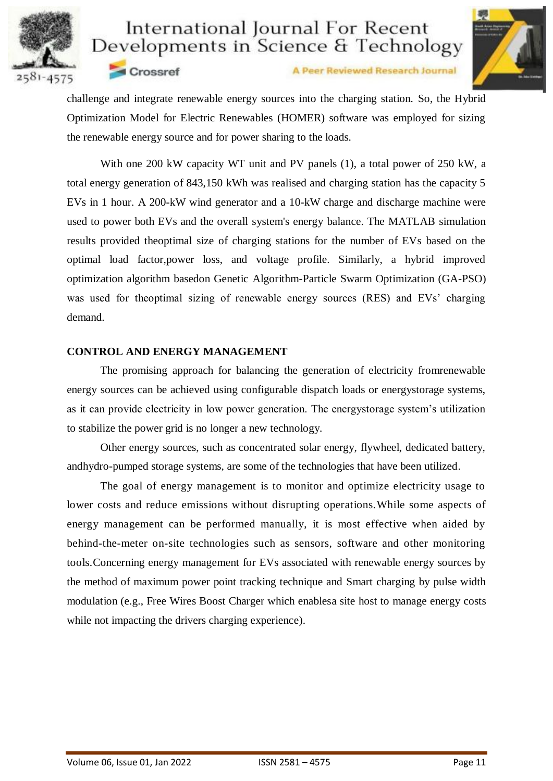



Crossref

A Peer Reviewed Research Journal

challenge and integrate renewable energy sources into the charging station. So, the Hybrid Optimization Model for Electric Renewables (HOMER) software was employed for sizing the renewable energy source and for power sharing to the loads.

With one 200 kW capacity WT unit and PV panels (1), a total power of 250 kW, a total energy generation of 843,150 kWh was realised and charging station has the capacity 5 EVs in 1 hour. A 200-kW wind generator and a 10-kW charge and discharge machine were used to power both EVs and the overall system's energy balance. The MATLAB simulation results provided theoptimal size of charging stations for the number of EVs based on the optimal load factor,power loss, and voltage profile. Similarly, a hybrid improved optimization algorithm basedon Genetic Algorithm-Particle Swarm Optimization (GA-PSO) was used for theoptimal sizing of renewable energy sources (RES) and EVs' charging demand.

#### **CONTROL AND ENERGY MANAGEMENT**

The promising approach for balancing the generation of electricity fromrenewable energy sources can be achieved using configurable dispatch loads or energystorage systems, as it can provide electricity in low power generation. The energystorage system's utilization to stabilize the power grid is no longer a new technology.

Other energy sources, such as concentrated solar energy, flywheel, dedicated battery, andhydro-pumped storage systems, are some of the technologies that have been utilized.

The goal of energy management is to monitor and optimize electricity usage to lower costs and reduce emissions without disrupting operations.While some aspects of energy management can be performed manually, it is most effective when aided by behind-the-meter on-site technologies such as sensors, software and other monitoring tools.Concerning energy management for EVs associated with renewable energy sources by the method of maximum power point tracking technique and Smart charging by pulse width modulation (e.g., Free Wires Boost Charger which enablesa site host to manage energy costs while not impacting the drivers charging experience).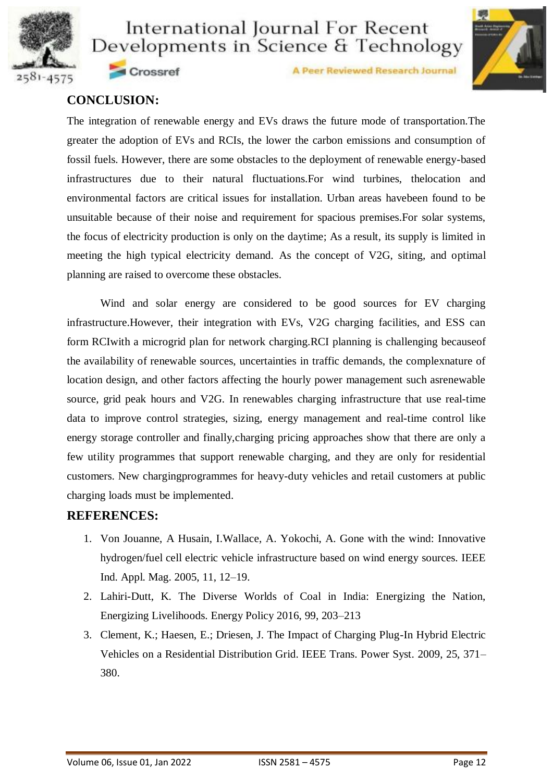



A Peer Reviewed Research Journal

## **CONCLUSION:**

Crossref

The integration of renewable energy and EVs draws the future mode of transportation.The greater the adoption of EVs and RCIs, the lower the carbon emissions and consumption of fossil fuels. However, there are some obstacles to the deployment of renewable energy-based infrastructures due to their natural fluctuations.For wind turbines, thelocation and environmental factors are critical issues for installation. Urban areas havebeen found to be unsuitable because of their noise and requirement for spacious premises.For solar systems, the focus of electricity production is only on the daytime; As a result, its supply is limited in meeting the high typical electricity demand. As the concept of V2G, siting, and optimal planning are raised to overcome these obstacles.

Wind and solar energy are considered to be good sources for EV charging infrastructure.However, their integration with EVs, V2G charging facilities, and ESS can form RCIwith a microgrid plan for network charging.RCI planning is challenging becauseof the availability of renewable sources, uncertainties in traffic demands, the complexnature of location design, and other factors affecting the hourly power management such asrenewable source, grid peak hours and V2G. In renewables charging infrastructure that use real-time data to improve control strategies, sizing, energy management and real-time control like energy storage controller and finally,charging pricing approaches show that there are only a few utility programmes that support renewable charging, and they are only for residential customers. New chargingprogrammes for heavy-duty vehicles and retail customers at public charging loads must be implemented.

## **REFERENCES:**

- 1. Von Jouanne, A Husain, I.Wallace, A. Yokochi, A. Gone with the wind: Innovative hydrogen/fuel cell electric vehicle infrastructure based on wind energy sources. IEEE Ind. Appl. Mag. 2005, 11, 12–19.
- 2. Lahiri-Dutt, K. The Diverse Worlds of Coal in India: Energizing the Nation, Energizing Livelihoods. Energy Policy 2016, 99, 203–213
- 3. Clement, K.; Haesen, E.; Driesen, J. The Impact of Charging Plug-In Hybrid Electric Vehicles on a Residential Distribution Grid. IEEE Trans. Power Syst. 2009, 25, 371– 380.